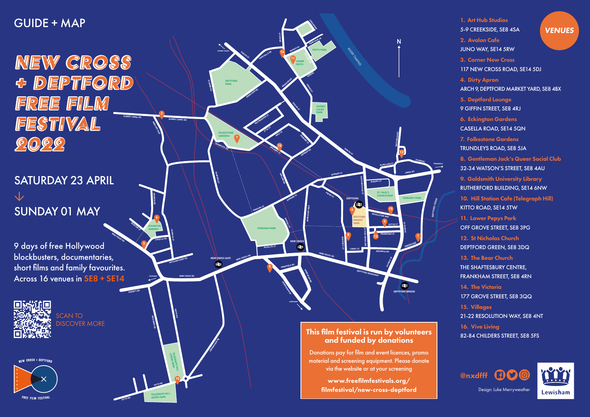**2**

**MERCURY WAY** 

**3**

**4**

**5**

**7**

**8**

**12**

**13**

**14**

**15**

**16**

**10**

**11**

**9**

**6**

**DEPTFORD BRIDGE**

 $\bullet$ 

**DEPTFORD**

**NEW CROSS**

**NEW CROSS GATE**

**JERNINGHAM RD** 

**COMET ST**

**DEPTFORD MARKET YARD**

**GARDENS CASELLA RD**

 $\blacktriangle$ 

**EDWARD ST**

**PAYNE ST** 

**ACHILLES ST**<br>ACHILLES ST

**EDWARD ST**

**AMERSHAM VALE**

**WATSON'S ST**

**DEPTFORD HIGH ST**

**DEPTFORD HIGH ST**

**REGINALD RD**

**CHURCH ST** 

**CHURCH ST**

**ALBUNY ST**

**ABINGER GR**

**GOSTERWOOD ST**

**OXESTALLS RD** 

GRINSTEAD RD

**ETTA ST**

**ARKLOW RD** 

**ROLT ST**

**CHILDERS ST** 

**DORKING CL**

**GROVE** 

**FORDHAM PARK**

**SANFORD ST**

**FOLKESTONE GARDENS**

**DEPTFORD PARK**

**PEPYS PARK**

**LONGSHORE** 

**ST. PAUL'S** 

**CHURCHYARD FERRANTI PARK**

**TELEGRAPH HILL LOWER PARK**

**TELEGRAPH HILL UPPER PARK**

**PEPYS RD**

**QUEEN'S RD**

**NEW CROSS RD**

**PECKHAM**

**LEWISHAM**

**LEWISH CONTROL** 

**CREEK RD**

**EVELYN ST**

**RIVER THAMES** 

**SAYERS COURT PARK**

**LEEWAY**

**MILLARD** 

**GROVE ST**

**DRAGOON RD** 

**EVELYN ST**

**SANFORD ST** 

**LOWER PEPYS**

**BOWDITCH** 

**EVELYN ST** 

**BARFLEUR LN**

**SCAWEN RD**

**SURREY CANAL RD**

**TRUNDLEYS RD**

**SURREY QUAYS**

**AMERSHAM RD**

**PARKFIELD RD**

PAGNEL ST

**KITTO RD**

**ERLANGER RD** 

**KITTO RD**

**ECKINGTON** 

**REASTON ST**

**MONSON RD**

**HATCHAM PARK RD**

**NEW CROSS RD** 9 days of free Hollywood blockbusters, documentaries, short films and family favourites. Across 16 venues in SE8 + SE14



**DEPTFORD GRN**

**STOWAGE**

**GREENWICH** 

**McMILLIAN ST**

This film festival is run by volunteers and funded by donations

Donations pay for film and event licences, promo material and screening equipment. Please donate via the website or at your screening

> www.freefilmfestivals.org/ filmfestival/new-cross-deptford

1. Art Hub Studios 5-9 CREEKSIDE, SE8 4SA 2. Avalon Cafe JUNO WAY, SE14 5RW 3. Corner New Cross 117 NEW CROSS ROAD, SE14 5DJ 4. Dirty Apron ARCH 9, DEPTFORD MARKET YARD, SE8 4BX 5. Deptford Lounge 9 GIFFIN STREET, SE8 4RJ 6. Eckington Gardens CASELLA ROAD, SE14 5QN 7. Folkestone Gardens TRUNDLEYS ROAD, SE8 5JA 8. Gentleman Jack's Queer Social Club 32-34 WATSON'S STREET, SE8 4AU 9. Goldsmith University Library RUTHERFORD BUILDING, SE14 6NW 10. Hill Station Cafe (Telegraph Hill) KITTO ROAD, SE14 5TW 11. Lower Pepys Park OFF GROVE STREET, SE8 3PG 12. St Nicholas Church DEPTFORD GREEN, SE8 3DQ 13. The Bear Church THE SHAFTESBURY CENTRE, FRANKHAM STREET, SE8 4RN 14. The Victoria 177 GROVE STREET, SE8 3QQ 15. Villages 21-22 RESOLUTION WAY, SE8 4NT 16. Vive Living 82-84 CHILDERS STREET, SE8 5FS **VENUES** 



Design: Luke Merryweather



# GUIDE + MAP

NEW CROSS & DEPTFORD **FREE FILM FESTIVAL SURREY CANAL RD**  $0.009$ 

# SATURDAY 23 APRIL **↓** SUNDAY 01 MAY

SCAN TO DISCOVER MORE

**NEW CROSS + DEPTFOR**